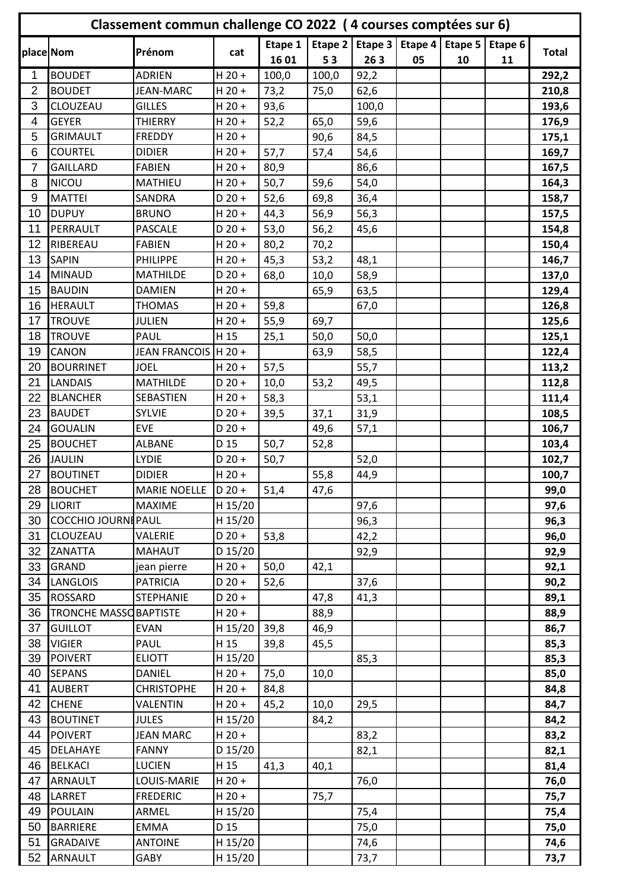| Classement commun challenge CO 2022 (4 courses comptées sur 6) |                                   |                                |                 |         |         |              |         |         |         |              |
|----------------------------------------------------------------|-----------------------------------|--------------------------------|-----------------|---------|---------|--------------|---------|---------|---------|--------------|
| place Nom                                                      |                                   | Prénom                         | cat             | Etape 1 | Etape 2 | Etape 3      | Etape 4 | Etape 5 | Etape 6 | <b>Total</b> |
|                                                                |                                   |                                |                 | 1601    | 53      | 263          | 05      | 10      | 11      |              |
| 1                                                              | <b>BOUDET</b>                     | <b>ADRIEN</b>                  | $H$ 20 +        | 100,0   | 100,0   | 92,2         |         |         |         | 292,2        |
| $\overline{2}$                                                 | <b>BOUDET</b>                     | <b>JEAN-MARC</b>               | $H$ 20 +        | 73,2    | 75,0    | 62,6         |         |         |         | 210,8        |
| 3                                                              | CLOUZEAU                          | <b>GILLES</b>                  | $H$ 20 +        | 93,6    |         | 100,0        |         |         |         | 193,6        |
| 4                                                              | <b>GEYER</b>                      | <b>THIERRY</b>                 | $H$ 20 +        | 52,2    | 65,0    | 59,6         |         |         |         | 176,9        |
| 5                                                              | <b>GRIMAULT</b>                   | <b>FREDDY</b>                  | $H$ 20 +        |         | 90,6    | 84,5         |         |         |         | 175,1        |
| 6                                                              | <b>COURTEL</b>                    | <b>DIDIER</b>                  | $H$ 20 +        | 57,7    | 57,4    | 54,6         |         |         |         | 169,7        |
| $\overline{7}$                                                 | <b>GAILLARD</b>                   | <b>FABIEN</b>                  | $H$ 20 +        | 80,9    |         | 86,6         |         |         |         | 167,5        |
| 8                                                              | <b>NICOU</b>                      | <b>MATHIEU</b>                 | $H$ 20 +        | 50,7    | 59,6    | 54,0         |         |         |         | 164,3        |
| 9                                                              | <b>MATTEI</b>                     | <b>SANDRA</b>                  | $D$ 20 +        | 52,6    | 69,8    | 36,4         |         |         |         | 158,7        |
| 10                                                             | <b>DUPUY</b>                      | <b>BRUNO</b>                   | $H$ 20 +        | 44,3    | 56,9    | 56,3         |         |         |         | 157,5        |
| 11                                                             | PERRAULT                          | <b>PASCALE</b>                 | $D$ 20 +        | 53,0    | 56,2    | 45,6         |         |         |         | 154,8        |
| 12                                                             | RIBEREAU                          | <b>FABIEN</b>                  | $H$ 20 +        | 80,2    | 70,2    |              |         |         |         | 150,4        |
| 13                                                             | <b>SAPIN</b>                      | <b>PHILIPPE</b>                | $H$ 20 +        | 45,3    | 53,2    | 48,1         |         |         |         | 146,7        |
| 14                                                             | <b>MINAUD</b>                     | <b>MATHILDE</b>                | $D 20 +$        | 68,0    | 10,0    | 58,9         |         |         |         | 137,0        |
| 15                                                             | <b>BAUDIN</b>                     | <b>DAMIEN</b>                  | $H$ 20 +        |         | 65,9    | 63,5         |         |         |         | 129,4        |
| 16                                                             | <b>HERAULT</b>                    | <b>THOMAS</b>                  | $H$ 20 +        | 59,8    |         | 67,0         |         |         |         | 126,8        |
| 17                                                             | <b>TROUVE</b>                     | <b>JULIEN</b>                  | $H$ 20 +        | 55,9    | 69,7    |              |         |         |         | 125,6        |
| 18                                                             | <b>TROUVE</b>                     | PAUL                           | H 15            | 25,1    | 50,0    | 50,0         |         |         |         | 125,1        |
| 19                                                             | <b>CANON</b>                      | JEAN FRANCOIS   H 20 +         |                 |         | 63,9    | 58,5         |         |         |         | 122,4        |
| 20                                                             | <b>BOURRINET</b>                  | <b>JOEL</b>                    | $H$ 20 +        | 57,5    |         | 55,7         |         |         |         | 113,2        |
| 21                                                             | <b>LANDAIS</b>                    | <b>MATHILDE</b>                | $D 20 +$        | 10,0    | 53,2    | 49,5         |         |         |         | 112,8        |
| 22                                                             | <b>BLANCHER</b>                   | SEBASTIEN                      | $H$ 20 +        | 58,3    |         | 53,1         |         |         |         | 111,4        |
| 23                                                             | <b>BAUDET</b>                     | SYLVIE                         | $D$ 20 +        | 39,5    | 37,1    | 31,9         |         |         |         | 108,5        |
| 24                                                             | <b>GOUALIN</b>                    | <b>EVE</b>                     | $D$ 20 +        |         | 49,6    | 57,1         |         |         |         | 106,7        |
| 25                                                             | <b>BOUCHET</b>                    | <b>ALBANE</b>                  | D <sub>15</sub> | 50,7    | 52,8    |              |         |         |         | 103,4        |
| 26                                                             | <b>JAULIN</b>                     | <b>LYDIE</b>                   | $D$ 20 +        | 50,7    |         | 52,0         |         |         |         | 102,7        |
| 27                                                             | <b>BOUTINET</b>                   | <b>DIDIER</b>                  | $H$ 20 +        |         | 55,8    | 44,9         |         |         |         | 100,7        |
| 28                                                             | <b>BOUCHET</b>                    | MARIE NOELLE   D 20 +          |                 | 51,4    | 47,6    |              |         |         |         | 99,0         |
| 29                                                             | <b>LIORIT</b>                     | <b>MAXIME</b>                  | H 15/20         |         |         | 97,6         |         |         |         | 97,6         |
| 30                                                             | COCCHIO JOURNIPAUL                |                                | H 15/20         |         |         | 96,3         |         |         |         | 96,3         |
| 31                                                             | CLOUZEAU                          | VALERIE                        | $D 20 +$        | 53,8    |         | 42,2         |         |         |         | 96,0         |
| 32                                                             | ZANATTA                           | <b>MAHAUT</b>                  | D 15/20         |         |         | 92,9         |         |         |         | 92,9         |
| 33                                                             | <b>GRAND</b>                      | jean pierre                    | $H$ 20 +        | 50,0    | 42,1    |              |         |         |         | 92,1         |
| 34                                                             | <b>LANGLOIS</b>                   | <b>PATRICIA</b>                | $D$ 20 +        | 52,6    |         | 37,6         |         |         |         | 90,2         |
| 35                                                             | <b>ROSSARD</b>                    | <b>STEPHANIE</b>               | $D 20 +$        |         | 47,8    | 41,3         |         |         |         | 89,1         |
| 36                                                             | TRONCHE MASSO BAPTISTE            |                                | $H$ 20 +        |         | 88,9    |              |         |         |         | 88,9         |
| 37                                                             | <b>GUILLOT</b>                    | <b>EVAN</b>                    | H 15/20         | 39,8    | 46,9    |              |         |         |         | 86,7         |
| 38                                                             | <b>VIGIER</b>                     | PAUL                           | H 15            | 39,8    | 45,5    |              |         |         |         | 85,3         |
| 39                                                             | <b>POIVERT</b>                    | <b>ELIOTT</b>                  | H 15/20         |         |         | 85,3         |         |         |         | 85,3         |
| 40                                                             | <b>SEPANS</b>                     | <b>DANIEL</b>                  | $H$ 20 +        | 75,0    | 10,0    |              |         |         |         | 85,0         |
| 41                                                             | <b>AUBERT</b>                     | <b>CHRISTOPHE</b>              | $H$ 20 +        | 84,8    |         |              |         |         |         | 84,8         |
| 42                                                             | <b>CHENE</b>                      | VALENTIN                       | $H$ 20 +        | 45,2    | 10,0    | 29,5         |         |         |         | 84,7         |
| 43                                                             | <b>BOUTINET</b>                   | <b>JULES</b>                   | H 15/20         |         | 84,2    |              |         |         |         | 84,2         |
| 44                                                             | <b>POIVERT</b>                    | <b>JEAN MARC</b>               | $H$ 20 +        |         |         | 83,2         |         |         |         | 83,2         |
| 45                                                             | <b>DELAHAYE</b>                   | <b>FANNY</b>                   | D 15/20         |         |         | 82,1         |         |         |         | 82,1         |
| 46                                                             | <b>BELKACI</b>                    | <b>LUCIEN</b>                  | H 15            | 41,3    | 40,1    |              |         |         |         | 81,4         |
| 47<br>48                                                       | <b>ARNAULT</b><br>LARRET          | LOUIS-MARIE<br><b>FREDERIC</b> | $H$ 20 +        |         |         | 76,0         |         |         |         | 76,0         |
|                                                                |                                   |                                | $H$ 20 +        |         | 75,7    |              |         |         |         | 75,7         |
| 49<br>50                                                       | <b>POULAIN</b><br><b>BARRIERE</b> | ARMEL<br><b>EMMA</b>           | H 15/20<br>D 15 |         |         | 75,4<br>75,0 |         |         |         | 75,4<br>75,0 |
| 51                                                             | <b>GRADAIVE</b>                   | <b>ANTOINE</b>                 |                 |         |         |              |         |         |         |              |
| 52                                                             | ARNAULT                           | GABY                           | H 15/20         |         |         | 74,6         |         |         |         | 74,6         |
|                                                                |                                   |                                | H 15/20         |         |         | 73,7         |         |         |         | 73,7         |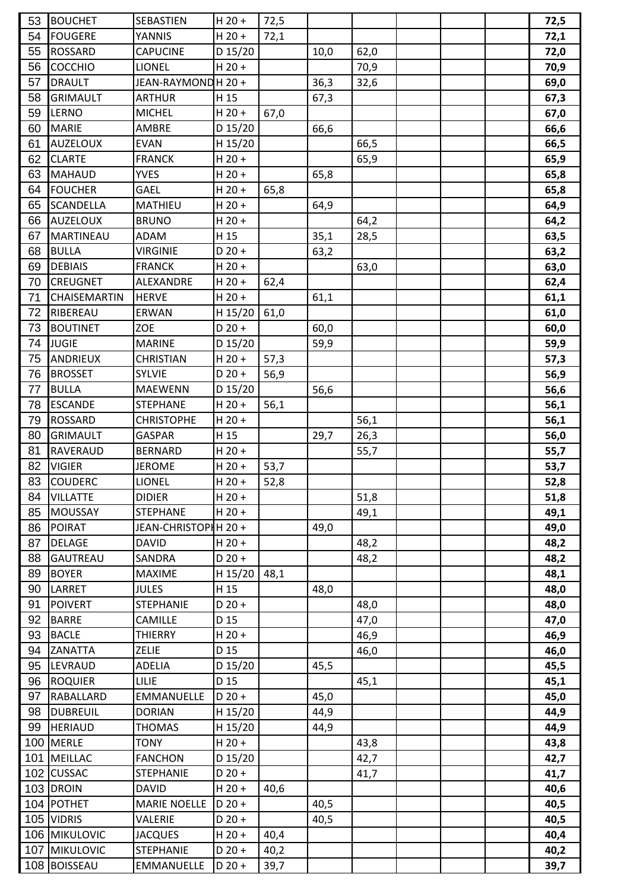| 53 | <b>BOUCHET</b>      | SEBASTIEN            | $H 20 +$        | 72,5 |      |      |  | 72,5 |
|----|---------------------|----------------------|-----------------|------|------|------|--|------|
| 54 | <b>FOUGERE</b>      | YANNIS               | $H$ 20 +        | 72,1 |      |      |  | 72,1 |
| 55 | <b>ROSSARD</b>      | <b>CAPUCINE</b>      | D 15/20         |      | 10,0 | 62,0 |  | 72,0 |
| 56 | <b>COCCHIO</b>      | <b>LIONEL</b>        | $H$ 20 +        |      |      | 70,9 |  | 70,9 |
| 57 | <b>DRAULT</b>       | JEAN-RAYMOND H 20 +  |                 |      | 36,3 | 32,6 |  | 69,0 |
| 58 | <b>GRIMAULT</b>     | <b>ARTHUR</b>        | H 15            |      | 67,3 |      |  | 67,3 |
| 59 | LERNO               | <b>MICHEL</b>        | $H$ 20 +        | 67,0 |      |      |  | 67,0 |
| 60 | <b>MARIE</b>        | <b>AMBRE</b>         | D 15/20         |      | 66,6 |      |  | 66,6 |
| 61 | <b>AUZELOUX</b>     | <b>EVAN</b>          | H 15/20         |      |      | 66,5 |  | 66,5 |
| 62 | <b>CLARTE</b>       | <b>FRANCK</b>        | $H$ 20 +        |      |      | 65,9 |  | 65,9 |
| 63 | <b>MAHAUD</b>       | <b>YVES</b>          | $H$ 20 +        |      | 65,8 |      |  | 65,8 |
| 64 | <b>FOUCHER</b>      | GAEL                 | $H$ 20 +        | 65,8 |      |      |  | 65,8 |
| 65 | <b>SCANDELLA</b>    | MATHIEU              | $H$ 20 +        |      | 64,9 |      |  | 64,9 |
| 66 | <b>AUZELOUX</b>     | <b>BRUNO</b>         | $H$ 20 +        |      |      | 64,2 |  | 64,2 |
| 67 | <b>MARTINEAU</b>    | <b>ADAM</b>          | H 15            |      | 35,1 | 28,5 |  | 63,5 |
| 68 | <b>BULLA</b>        | <b>VIRGINIE</b>      | $D 20 +$        |      | 63,2 |      |  | 63,2 |
| 69 | <b>DEBIAIS</b>      | <b>FRANCK</b>        | $H$ 20 +        |      |      | 63,0 |  | 63,0 |
| 70 | <b>CREUGNET</b>     | ALEXANDRE            | $H$ 20 +        | 62,4 |      |      |  | 62,4 |
| 71 | <b>CHAISEMARTIN</b> | <b>HERVE</b>         | $H$ 20 +        |      | 61,1 |      |  | 61,1 |
| 72 | RIBEREAU            | ERWAN                | H 15/20         | 61,0 |      |      |  | 61,0 |
| 73 | <b>BOUTINET</b>     | ZOE                  | $D$ 20 +        |      | 60,0 |      |  | 60,0 |
| 74 | <b>JUGIE</b>        | <b>MARINE</b>        | D 15/20         |      | 59,9 |      |  | 59,9 |
| 75 | <b>ANDRIEUX</b>     | <b>CHRISTIAN</b>     | $H$ 20 +        | 57,3 |      |      |  | 57,3 |
| 76 | <b>BROSSET</b>      | <b>SYLVIE</b>        | $D$ 20 +        | 56,9 |      |      |  | 56,9 |
| 77 | <b>BULLA</b>        | <b>MAEWENN</b>       | D 15/20         |      | 56,6 |      |  | 56,6 |
| 78 | <b>ESCANDE</b>      | <b>STEPHANE</b>      | $H$ 20 +        | 56,1 |      |      |  | 56,1 |
| 79 | <b>ROSSARD</b>      | <b>CHRISTOPHE</b>    | $H$ 20 +        |      |      | 56,1 |  | 56,1 |
| 80 | <b>GRIMAULT</b>     | GASPAR               | H <sub>15</sub> |      | 29,7 | 26,3 |  | 56,0 |
| 81 | <b>RAVERAUD</b>     | <b>BERNARD</b>       | $H$ 20 +        |      |      | 55,7 |  | 55,7 |
| 82 | <b>VIGIER</b>       | <b>JEROME</b>        | $H$ 20 +        | 53,7 |      |      |  | 53,7 |
| 83 | <b>COUDERC</b>      | <b>LIONEL</b>        | $H$ 20 +        | 52,8 |      |      |  | 52,8 |
| 84 | <b>VILLATTE</b>     | <b>DIDIER</b>        | $H$ 20 +        |      |      | 51,8 |  | 51,8 |
| 85 | MOUSSAY             | <b>STEPHANE</b>      | $H$ 20 +        |      |      | 49,1 |  | 49,1 |
| 86 | POIRAT              | JEAN-CHRISTOPHH 20 + |                 |      | 49,0 |      |  | 49,0 |
| 87 | <b>DELAGE</b>       | <b>DAVID</b>         | $H$ 20 +        |      |      | 48,2 |  | 48,2 |
| 88 | <b>GAUTREAU</b>     | SANDRA               | $D$ 20 +        |      |      | 48,2 |  | 48,2 |
| 89 | <b>BOYER</b>        | <b>MAXIME</b>        | H 15/20         | 48,1 |      |      |  | 48,1 |
| 90 | LARRET              | <b>JULES</b>         | H 15            |      | 48,0 |      |  | 48,0 |
| 91 | POIVERT             | <b>STEPHANIE</b>     | $D 20 +$        |      |      | 48,0 |  | 48,0 |
| 92 | <b>BARRE</b>        | CAMILLE              | D 15            |      |      | 47,0 |  | 47,0 |
| 93 | <b>BACLE</b>        | <b>THIERRY</b>       | $H$ 20 +        |      |      | 46,9 |  | 46,9 |
| 94 | ZANATTA             | <b>ZELIE</b>         | D 15            |      |      | 46,0 |  | 46,0 |
| 95 | LEVRAUD             | ADELIA               | D 15/20         |      | 45,5 |      |  | 45,5 |
| 96 | <b>ROQUIER</b>      | <b>LILIE</b>         | D 15            |      |      | 45,1 |  | 45,1 |
| 97 | RABALLARD           | <b>EMMANUELLE</b>    | $D 20 +$        |      | 45,0 |      |  | 45,0 |
| 98 | <b>DUBREUIL</b>     | <b>DORIAN</b>        | H 15/20         |      | 44,9 |      |  | 44,9 |
| 99 | <b>HERIAUD</b>      | <b>THOMAS</b>        | H 15/20         |      | 44,9 |      |  | 44,9 |
|    | 100 MERLE           | <b>TONY</b>          | $H$ 20 +        |      |      | 43,8 |  | 43,8 |
|    | 101 MEILLAC         | <b>FANCHON</b>       | D 15/20         |      |      | 42,7 |  | 42,7 |
|    | 102 CUSSAC          | <b>STEPHANIE</b>     | $D$ 20 +        |      |      | 41,7 |  | 41,7 |
|    | 103 DROIN           | <b>DAVID</b>         | $H$ 20 +        | 40,6 |      |      |  | 40,6 |
|    | 104 POTHET          | <b>MARIE NOELLE</b>  | $D 20 +$        |      | 40,5 |      |  | 40,5 |
|    | 105 VIDRIS          | VALERIE              | $D$ 20 +        |      | 40,5 |      |  | 40,5 |
|    | 106 MIKULOVIC       | <b>JACQUES</b>       | $H$ 20 +        | 40,4 |      |      |  | 40,4 |
|    | 107 MIKULOVIC       | <b>STEPHANIE</b>     | $D$ 20 +        | 40,2 |      |      |  | 40,2 |
|    | 108 BOISSEAU        | <b>EMMANUELLE</b>    | $D 20 +$        | 39,7 |      |      |  | 39,7 |